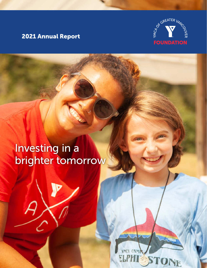## 2021 Annual Report



## Investing in a brighter tomorrow

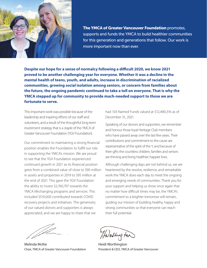

**The YMCA of Greater Vancouver Foundation** promotes, supports and funds the YMCA to build healthier communities for this generation and generations that follow. Our work is more important now than ever.

**Despite our hope for a sense of normalcy following a difficult 2020, we know 2021 proved to be another challenging year for everyone. Whether it was a decline in the mental health of teens, youth, and adults, increase in discrimination of racialized communities, growing social isolation among seniors, or concern from families about the future, the ongoing pandemic continued to take a toll on everyone. That is why the YMCA stepped up for community to provide much-needed support to those we are fortunate to serve.**

This important work was possible because of the leadership and inspiring efforts of our staff and volunteers, and a result of the thoughtful long-term investment strategy that is a staple of the YMCA of Greater Vancouver Foundation (YGV Foundation).

Our commitment to maintaining a strong financial position enables the Foundation to fulfill our role in supporting the YMCA's mission. We are proud to see that the YGV Foundation experienced continued growth in 2021 as its financial position grew from a combined value of close to \$90 million in assets and properties in 2019 to \$95 million at the end of 2021. This gave the YGV Foundation the ability to invest \$2,760,707 towards the YMCA lifechanging programs and services. This included \$510,000 contributed towards COVID recovery projects and initiatives. The generosity of our valued donors and supporters is always appreciated, and we are happy to share that we

had 103 Named Funds valued at \$12,480,316 as of December 31, 2021.

Speaking of our donors and supporters, we remember and honour those loyal Heritage Club members who have passed away over the last few years. Their contributions and commitment to the cause are representative of the spirit of the Y, and because of their gifts the countless children, families and seniors are thriving and living healthier, happier lives.

Although challenging days are not behind us, we are heartened by the resolve, resilience, and remarkable work the YMCA does each day to meet the ongoing and emerging needs of communities. Thank you for your support and helping us show once again that no matter how difficult times may be, the YMCA's commitment to a brighter tomorrow will remain, guiding our mission of building healthy, happy and strong communities so that everyone can reach their full potential.

Melinda McKie Chair, YMCA of Greater Vancouver Foundation

HWorthing For

Heidi Worthington President & CEO, YMCA of Greater Vancouver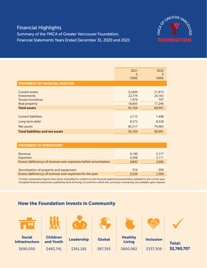# OF GREATER VAN **FOUNDATION**

## Financial Highlights

Summary of the YMCA of Greater Vancouver Foundation, Financial Statements Years Ended December 31, 2020 and 2021

|                                         | 2021<br>S<br>(1000) | 2020<br>\$<br>(000) |
|-----------------------------------------|---------------------|---------------------|
| <b>STATEMENT OF FINANCIAL POSITION</b>  |                     |                     |
| <b>Current assets</b>                   | 52,849              | 51,873              |
| Investments                             | 22,774              | 20,165              |
| <b>Tenant Incentives</b>                | 1,476               | 707                 |
| <b>Real property</b>                    | 18,605              | 17,246              |
| <b>Total assets</b>                     | 95,704              | 89,991              |
| <b>Current liabilities</b>              | 2,115               | 1,498               |
| Long-term debt                          | 8,272               | 8,528               |
| Net assets                              | 85,317              | 79,965              |
| <b>Total liabilities and net assets</b> | 95,704              | 89,991              |

| <b>STATEMENT OF OPERATIONS*</b>                                  |        |                |
|------------------------------------------------------------------|--------|----------------|
|                                                                  | 9,190  |                |
| Revenue<br><b>Expenses</b>                                       | 4,348  | 5,717<br>3,111 |
| Excess (deficiency) of revenue over expenses before amortization | 4,842  | 2,606          |
|                                                                  |        |                |
| Amortization of property and equipment                           | $-316$ | $-306$         |
| Excess (deficiency) of revenue over expenses for the year        | 4,526  | 2,300          |

\*Certain comparative figures have been reclassified to conform to the financial statement presentation adopted in the current year. Complete financial statements audited by Ernst & Young LLP, and from which this summary is extracted, are available upon request.

### How the Foundation Invests in Community